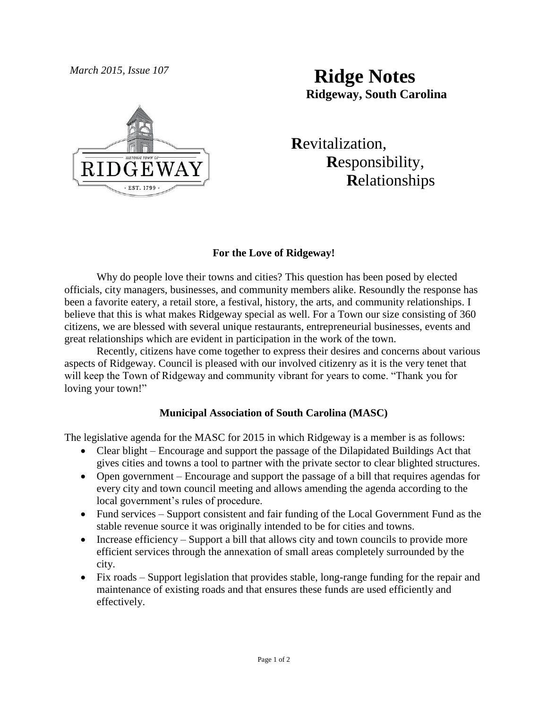

# *March 2015, Issue 107* **Ridge Notes Ridgeway, South Carolina**

 **R**evitalization,  **R**esponsibility,  **R**elationships

## **For the Love of Ridgeway!**

Why do people love their towns and cities? This question has been posed by elected officials, city managers, businesses, and community members alike. Resoundly the response has been a favorite eatery, a retail store, a festival, history, the arts, and community relationships. I believe that this is what makes Ridgeway special as well. For a Town our size consisting of 360 citizens, we are blessed with several unique restaurants, entrepreneurial businesses, events and great relationships which are evident in participation in the work of the town.

Recently, citizens have come together to express their desires and concerns about various aspects of Ridgeway. Council is pleased with our involved citizenry as it is the very tenet that will keep the Town of Ridgeway and community vibrant for years to come. "Thank you for loving your town!"

## **Municipal Association of South Carolina (MASC)**

The legislative agenda for the MASC for 2015 in which Ridgeway is a member is as follows:

- Clear blight Encourage and support the passage of the Dilapidated Buildings Act that gives cities and towns a tool to partner with the private sector to clear blighted structures.
- Open government Encourage and support the passage of a bill that requires agendas for every city and town council meeting and allows amending the agenda according to the local government's rules of procedure.
- Fund services Support consistent and fair funding of the Local Government Fund as the stable revenue source it was originally intended to be for cities and towns.
- $\bullet$  Increase efficiency Support a bill that allows city and town councils to provide more efficient services through the annexation of small areas completely surrounded by the city.
- Fix roads Support legislation that provides stable, long-range funding for the repair and maintenance of existing roads and that ensures these funds are used efficiently and effectively.